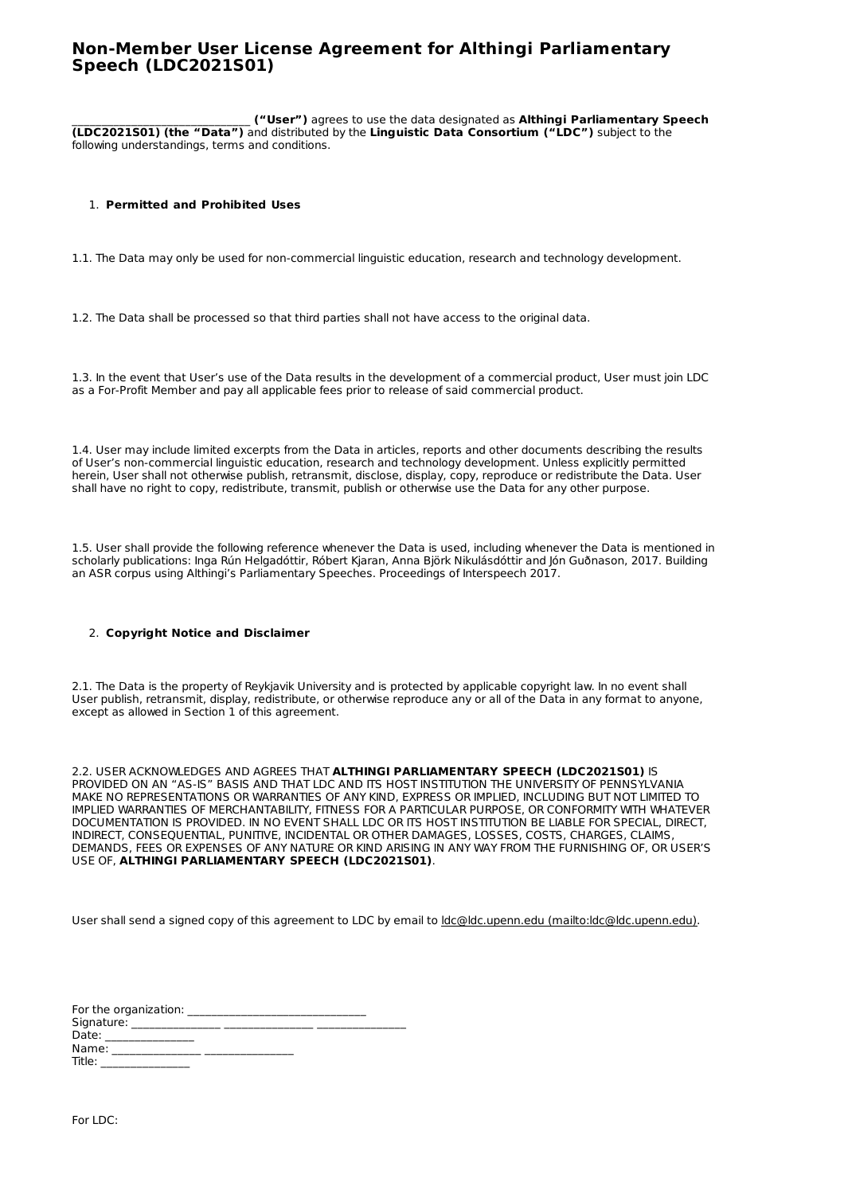## **Non-Member User License Agreement for Althingi Parliamentary Speech (LDC2021S01)**

\_\_\_\_\_\_\_\_\_\_\_\_\_\_\_\_\_\_\_\_\_\_\_\_\_\_\_\_\_\_ **("User")** agrees to use the data designated as **Althingi Parliamentary Speech (LDC2021S01) (the "Data")** and distributed by the **Linguistic Data Consortium ("LDC")** subject to the following understandings, terms and conditions.

## 1. **Permitted and Prohibited Uses**

1.1. The Data may only be used for non-commercial linguistic education, research and technology development.

1.2. The Data shall be processed so that third parties shall not have access to the original data.

1.3. In the event that User's use of the Data results in the development of a commercial product, User must join LDC as a For-Profit Member and pay all applicable fees prior to release of said commercial product.

1.4. User may include limited excerpts from the Data in articles, reports and other documents describing the results of User's non-commercial linguistic education, research and technology development. Unless explicitly permitted herein, User shall not otherwise publish, retransmit, disclose, display, copy, reproduce or redistribute the Data. User shall have no right to copy, redistribute, transmit, publish or otherwise use the Data for any other purpose.

1.5. User shall provide the following reference whenever the Data is used, including whenever the Data is mentioned in scholarly publications: Inga Rún Helgadóttir, Róbert Kjaran, Anna Björk Nikulásdóttir and Jón Guðnason, 2017. Building an ASR corpus using Althingi's Parliamentary Speeches. Proceedings of Interspeech 2017.

## 2. **Copyright Notice and Disclaimer**

2.1. The Data is the property of Reykjavik University and is protected by applicable copyright law. In no event shall User publish, retransmit, display, redistribute, or otherwise reproduce any or all of the Data in any format to anyone, except as allowed in Section 1 of this agreement.

2.2. USER ACKNOWLEDGES AND AGREES THAT **ALTHINGI PARLIAMENTARY SPEECH (LDC2021S01)** IS PROVIDED ON AN "AS-IS" BASIS AND THAT LDC AND ITS HOST INSTITUTION THE UNIVERSITY OF PENNSYLVANIA MAKE NO REPRESENTATIONS OR WARRANTIES OF ANY KIND, EXPRESS OR IMPLIED, INCLUDING BUT NOT LIMITED TO IMPLIED WARRANTIES OF MERCHANTABILITY, FITNESS FOR A PARTICULAR PURPOSE, OR CONFORMITY WITH WHATEVER DOCUMENTATION IS PROVIDED. IN NO EVENT SHALL LDC OR ITS HOST INSTITUTION BE LIABLE FOR SPECIAL, DIRECT, INDIRECT, CONSEQUENTIAL, PUNITIVE, INCIDENTAL OR OTHER DAMAGES, LOSSES, COSTS, CHARGES, CLAIMS, DEMANDS, FEES OR EXPENSES OF ANY NATURE OR KIND ARISING IN ANY WAY FROM THE FURNISHING OF, OR USER'S USE OF, **ALTHINGI PARLIAMENTARY SPEECH (LDC2021S01)**.

User shall send a signed copy of this agreement to LDC by email to ldc@ldc.upenn.edu [\(mailto:ldc@ldc.upenn.edu\)](mailto:ldc@ldc.upenn.edu).

| For the organization:          |  |
|--------------------------------|--|
| Signature:                     |  |
| Date:                          |  |
| Name:                          |  |
| Title:<br>____________________ |  |